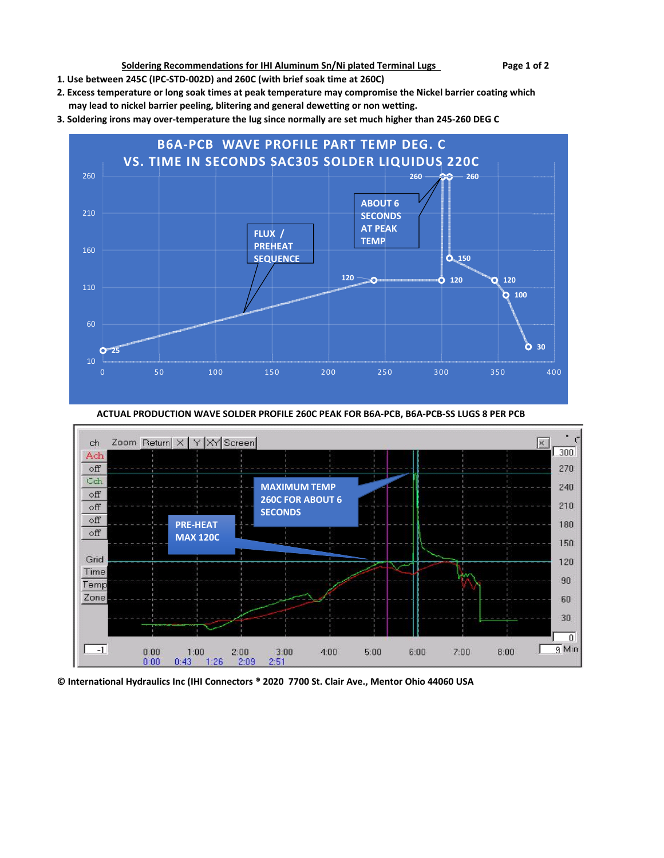**Soldering Recommendations for IHI Aluminum Sn/Ni plated Terminal Lugs Page 1 of 2** 

- **1. Use between 245C (IPC-STD-002D) and 260C (with brief soak time at 260C)**
- **2. Excess temperature or long soak times at peak temperature may compromise the Nickel barrier coating which may lead to nickel barrier peeling, blitering and general dewetting or non wetting.**
- **3. Soldering irons may over-temperature the lug since normally are set much higher than 245-260 DEG C**



 **ACTUAL PRODUCTION WAVE SOLDER PROFILE 260C PEAK FOR B6A-PCB, B6A-PCB-SS LUGS 8 PER PCB** 



**© International Hydraulics Inc (IHI Connectors ® 2020 7700 St. Clair Ave., Mentor Ohio 44060 USA**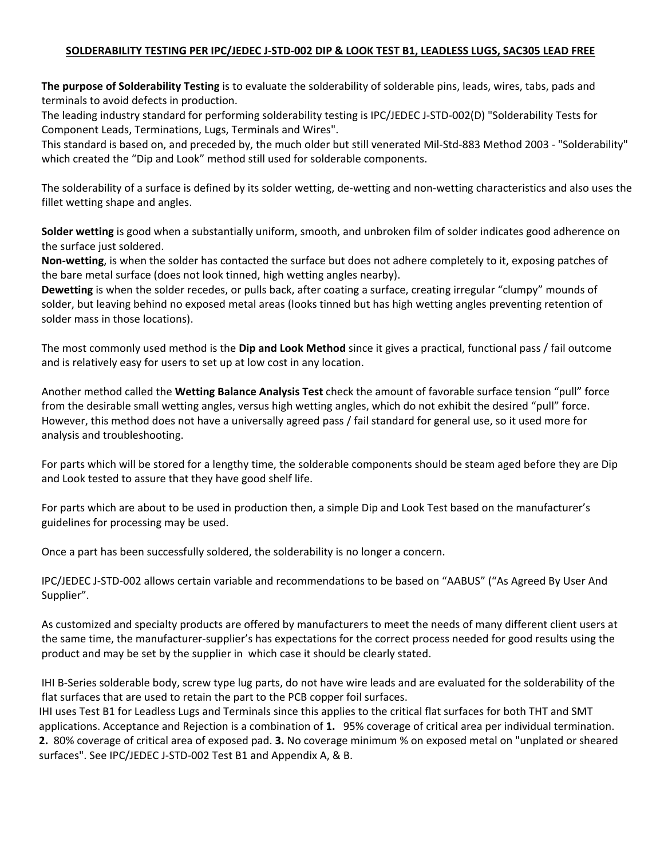## **SOLDERABILITY TESTING PER IPC/JEDEC J-STD-002 DIP & LOOK TEST B1, LEADLESS LUGS, SAC305 LEAD FREE**

**The purpose of Solderability Testing** is to evaluate the solderability of solderable pins, leads, wires, tabs, pads and terminals to avoid defects in production.

The leading industry standard for performing solderability testing is IPC/JEDEC J-STD-002(D) "Solderability Tests for Component Leads, Terminations, Lugs, Terminals and Wires".

This standard is based on, and preceded by, the much older but still venerated Mil-Std-883 Method 2003 - "Solderability" which created the "Dip and Look" method still used for solderable components.

The solderability of a surface is defined by its solder wetting, de-wetting and non-wetting characteristics and also uses the fillet wetting shape and angles.

**Solder wetting** is good when a substantially uniform, smooth, and unbroken film of solder indicates good adherence on the surface just soldered.

**Non-wetting**, is when the solder has contacted the surface but does not adhere completely to it, exposing patches of the bare metal surface (does not look tinned, high wetting angles nearby).

**Dewetting** is when the solder recedes, or pulls back, after coating a surface, creating irregular "clumpy" mounds of solder, but leaving behind no exposed metal areas (looks tinned but has high wetting angles preventing retention of solder mass in those locations).

The most commonly used method is the **Dip and Look Method** since it gives a practical, functional pass / fail outcome and is relatively easy for users to set up at low cost in any location.

Another method called the **Wetting Balance Analysis Test** check the amount of favorable surface tension "pull" force from the desirable small wetting angles, versus high wetting angles, which do not exhibit the desired "pull" force. However, this method does not have a universally agreed pass / fail standard for general use, so it used more for analysis and troubleshooting.

For parts which will be stored for a lengthy time, the solderable components should be steam aged before they are Dip and Look tested to assure that they have good shelf life.

For parts which are about to be used in production then, a simple Dip and Look Test based on the manufacturer's guidelines for processing may be used.

Once a part has been successfully soldered, the solderability is no longer a concern.

IPC/JEDEC J-STD-002 allows certain variable and recommendations to be based on "AABUS" ("As Agreed By User And Supplier".

As customized and specialty products are offered by manufacturers to meet the needs of many different client users at the same time, the manufacturer-supplier's has expectations for the correct process needed for good results using the product and may be set by the supplier in which case it should be clearly stated.

IHI B-Series solderable body, screw type lug parts, do not have wire leads and are evaluated for the solderability of the flat surfaces that are used to retain the part to the PCB copper foil surfaces.

IHI uses Test B1 for Leadless Lugs and Terminals since this applies to the critical flat surfaces for both THT and SMT applications. Acceptance and Rejection is a combination of **1.** 95% coverage of critical area per individual termination. **2.** 80% coverage of critical area of exposed pad. **3.** No coverage minimum % on exposed metal on "unplated or sheared surfaces". See IPC/JEDEC J-STD-002 Test B1 and Appendix A, & B.